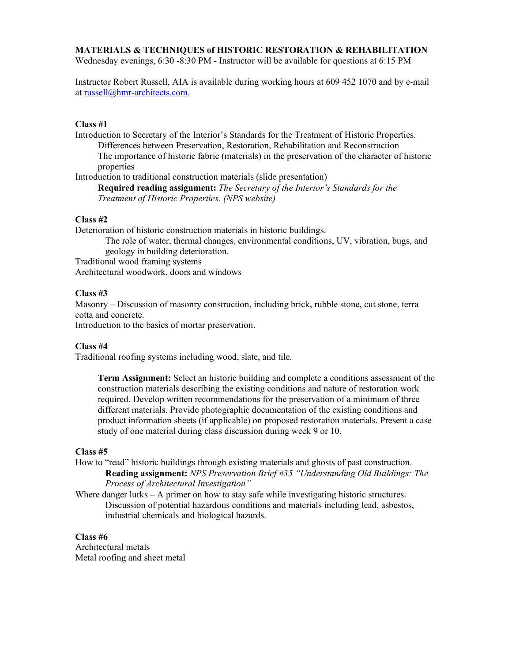### **MATERIALS & TECHNIQUES of HISTORIC RESTORATION & REHABILITATION**

Wednesday evenings, 6:30 -8:30 PM - Instructor will be available for questions at 6:15 PM

Instructor Robert Russell, AIA is available during working hours at 609 452 1070 and by e-mail at russell@hmr-architects.com.

# **Class #1**

Introduction to Secretary of the Interior's Standards for the Treatment of Historic Properties. Differences between Preservation, Restoration, Rehabilitation and Reconstruction The importance of historic fabric (materials) in the preservation of the character of historic properties Introduction to traditional construction materials (slide presentation)

**Required reading assignment:** *The Secretary of the Interior's Standards for the Treatment of Historic Properties. (NPS website)*

### **Class #2**

Deterioration of historic construction materials in historic buildings.

The role of water, thermal changes, environmental conditions, UV, vibration, bugs, and geology in building deterioration.

Traditional wood framing systems

Architectural woodwork, doors and windows

### **Class #3**

Masonry – Discussion of masonry construction, including brick, rubble stone, cut stone, terra cotta and concrete.

Introduction to the basics of mortar preservation.

#### **Class #4**

Traditional roofing systems including wood, slate, and tile.

**Term Assignment:** Select an historic building and complete a conditions assessment of the construction materials describing the existing conditions and nature of restoration work required. Develop written recommendations for the preservation of a minimum of three different materials. Provide photographic documentation of the existing conditions and product information sheets (if applicable) on proposed restoration materials. Present a case study of one material during class discussion during week 9 or 10.

### **Class #5**

- How to "read" historic buildings through existing materials and ghosts of past construction. **Reading assignment:** *NPS Preservation Brief #35 "Understanding Old Buildings: The Process of Architectural Investigation"*
- Where danger lurks  $-$  A primer on how to stay safe while investigating historic structures. Discussion of potential hazardous conditions and materials including lead, asbestos, industrial chemicals and biological hazards.

#### **Class #6**

Architectural metals Metal roofing and sheet metal